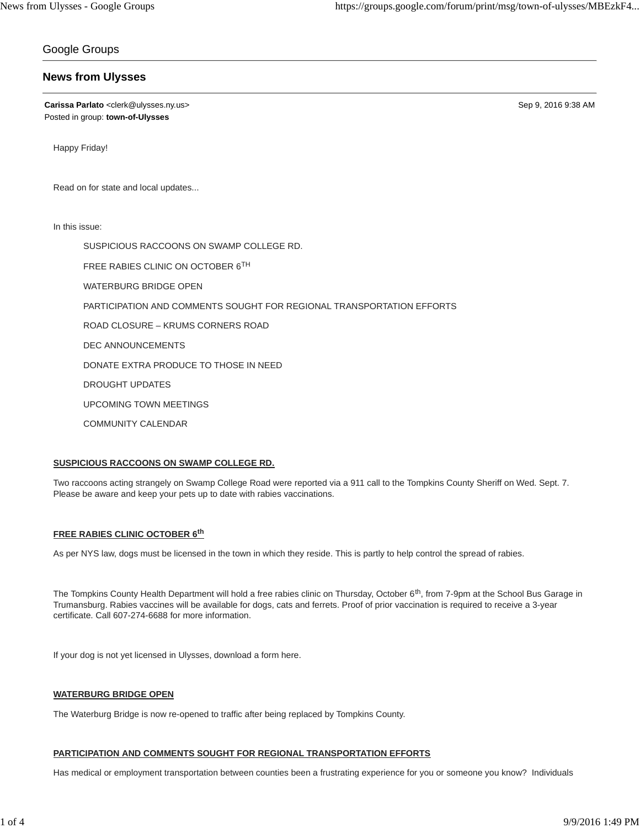# Google Groups

# **News from Ulysses**

**Carissa Parlato** <clerk@ulysses.ny.us> Sep 9, 2016 9:38 AM Posted in group: **town-of-Ulysses**

Happy Friday!

Read on for state and local updates...

In this issue:

SUSPICIOUS RACCOONS ON SWAMP COLLEGE RD.

FREE RABIES CLINIC ON OCTOBER 6TH

WATERBURG BRIDGE OPEN

PARTICIPATION AND COMMENTS SOUGHT FOR REGIONAL TRANSPORTATION EFFORTS

ROAD CLOSURE – KRUMS CORNERS ROAD

DEC ANNOUNCEMENTS

DONATE EXTRA PRODUCE TO THOSE IN NEED

DROUGHT UPDATES

UPCOMING TOWN MEETINGS

COMMUNITY CALENDAR

## **SUSPICIOUS RACCOONS ON SWAMP COLLEGE RD.**

Two raccoons acting strangely on Swamp College Road were reported via a 911 call to the Tompkins County Sheriff on Wed. Sept. 7. Please be aware and keep your pets up to date with rabies vaccinations.

## **FREE RABIES CLINIC OCTOBER 6th**

As per NYS law, dogs must be licensed in the town in which they reside. This is partly to help control the spread of rabies.

The Tompkins County Health Department will hold a free rabies clinic on Thursday, October 6<sup>th</sup>, from 7-9pm at the School Bus Garage in Trumansburg. Rabies vaccines will be available for dogs, cats and ferrets. Proof of prior vaccination is required to receive a 3-year certificate. Call 607-274-6688 for more information.

If your dog is not yet licensed in Ulysses, download a form here.

## **WATERBURG BRIDGE OPEN**

The Waterburg Bridge is now re-opened to traffic after being replaced by Tompkins County.

## **PARTICIPATION AND COMMENTS SOUGHT FOR REGIONAL TRANSPORTATION EFFORTS**

Has medical or employment transportation between counties been a frustrating experience for you or someone you know? Individuals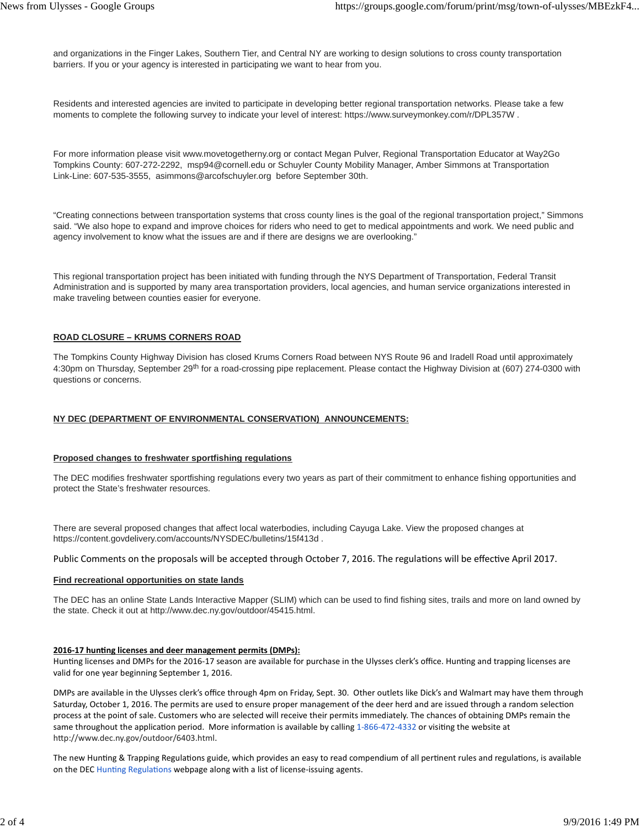and organizations in the Finger Lakes, Southern Tier, and Central NY are working to design solutions to cross county transportation barriers. If you or your agency is interested in participating we want to hear from you.

Residents and interested agencies are invited to participate in developing better regional transportation networks. Please take a few moments to complete the following survey to indicate your level of interest: https://www.surveymonkey.com/r/DPL357W .

For more information please visit www.movetogetherny.org or contact Megan Pulver, Regional Transportation Educator at Way2Go Tompkins County: 607-272-2292, msp94@cornell.edu or Schuyler County Mobility Manager, Amber Simmons at Transportation Link-Line: 607-535-3555, asimmons@arcofschuyler.org before September 30th.

"Creating connections between transportation systems that cross county lines is the goal of the regional transportation project," Simmons said. "We also hope to expand and improve choices for riders who need to get to medical appointments and work. We need public and agency involvement to know what the issues are and if there are designs we are overlooking."

This regional transportation project has been initiated with funding through the NYS Department of Transportation, Federal Transit Administration and is supported by many area transportation providers, local agencies, and human service organizations interested in make traveling between counties easier for everyone.

#### **ROAD CLOSURE – KRUMS CORNERS ROAD**

The Tompkins County Highway Division has closed Krums Corners Road between NYS Route 96 and Iradell Road until approximately 4:30pm on Thursday, September 29<sup>th</sup> for a road-crossing pipe replacement. Please contact the Highway Division at (607) 274-0300 with questions or concerns.

## **NY DEC (DEPARTMENT OF ENVIRONMENTAL CONSERVATION) ANNOUNCEMENTS:**

#### **Proposed changes to freshwater sportfishing regulations**

The DEC modifies freshwater sportfishing regulations every two years as part of their commitment to enhance fishing opportunities and protect the State's freshwater resources.

There are several proposed changes that affect local waterbodies, including Cayuga Lake. View the proposed changes at https://content.govdelivery.com/accounts/NYSDEC/bulletins/15f413d .

Public Comments on the proposals will be accepted through October 7, 2016. The regulations will be effective April 2017.

#### **Find recreational opportunities on state lands**

The DEC has an online State Lands Interactive Mapper (SLIM) which can be used to find fishing sites, trails and more on land owned by the state. Check it out at http://www.dec.ny.gov/outdoor/45415.html.

#### **2016-17 hunting licenses and deer management permits (DMPs):**

Hunting licenses and DMPs for the 2016-17 season are available for purchase in the Ulysses clerk's office. Hunting and trapping licenses are valid for one year beginning September 1, 2016.

DMPs are available in the Ulysses clerk's office through 4pm on Friday, Sept. 30. Other outlets like Dick's and Walmart may have them through Saturday, October 1, 2016. The permits are used to ensure proper management of the deer herd and are issued through a random selection process at the point of sale. Customers who are selected will receive their permits immediately. The chances of obtaining DMPs remain the same throughout the application period. More information is available by calling 1-866-472-4332 or visiting the website at http://www.dec.ny.gov/outdoor/6403.html.

The new Hunting & Trapping Regulations guide, which provides an easy to read compendium of all pertinent rules and regulations, is available on the DEC Hunting Regulations webpage along with a list of license-issuing agents.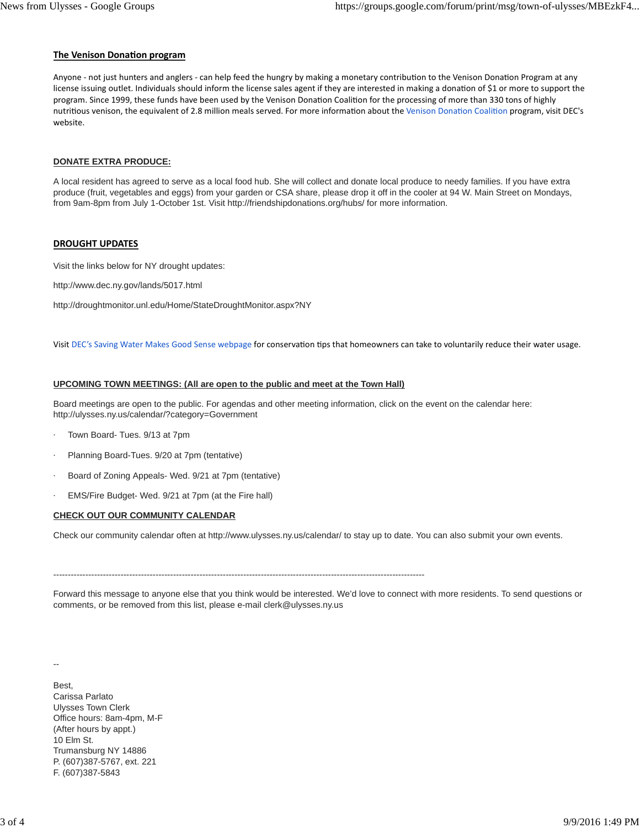## **The Venison Donation program**

Anyone - not just hunters and anglers - can help feed the hungry by making a monetary contribution to the Venison Donation Program at any license issuing outlet. Individuals should inform the license sales agent if they are interested in making a donation of \$1 or more to support the program. Since 1999, these funds have been used by the Venison Donation Coalition for the processing of more than 330 tons of highly nutritious venison, the equivalent of 2.8 million meals served. For more information about the Venison Donation Coalition program, visit DEC's website.

### **DONATE EXTRA PRODUCE:**

A local resident has agreed to serve as a local food hub. She will collect and donate local produce to needy families. If you have extra produce (fruit, vegetables and eggs) from your garden or CSA share, please drop it off in the cooler at 94 W. Main Street on Mondays, from 9am-8pm from July 1-October 1st. Visit http://friendshipdonations.org/hubs/ for more information.

## **DROUGHT UPDATES**

Visit the links below for NY drought updates:

http://www.dec.ny.gov/lands/5017.html

http://droughtmonitor.unl.edu/Home/StateDroughtMonitor.aspx?NY

Visit DEC's Saving Water Makes Good Sense webpage for conservation tips that homeowners can take to voluntarily reduce their water usage.

## **UPCOMING TOWN MEETINGS: (All are open to the public and meet at the Town Hall)**

Board meetings are open to the public. For agendas and other meeting information, click on the event on the calendar here: http://ulysses.ny.us/calendar/?category=Government

- Town Board- Tues. 9/13 at 7pm
- Planning Board-Tues. 9/20 at 7pm (tentative)
- Board of Zoning Appeals- Wed. 9/21 at 7pm (tentative)
- EMS/Fire Budget- Wed. 9/21 at 7pm (at the Fire hall)

## **CHECK OUT OUR COMMUNITY CALENDAR**

Check our community calendar often at http://www.ulysses.ny.us/calendar/ to stay up to date. You can also submit your own events.

-------------------------------------------------------------------------------------------------------------------------------

Forward this message to anyone else that you think would be interested. We'd love to connect with more residents. To send questions or comments, or be removed from this list, please e-mail clerk@ulysses.ny.us

--

**Best** Carissa Parlato Ulysses Town Clerk Office hours: 8am-4pm, M-F (After hours by appt.) 10 Elm St. Trumansburg NY 14886 P. (607)387-5767, ext. 221 F. (607)387-5843